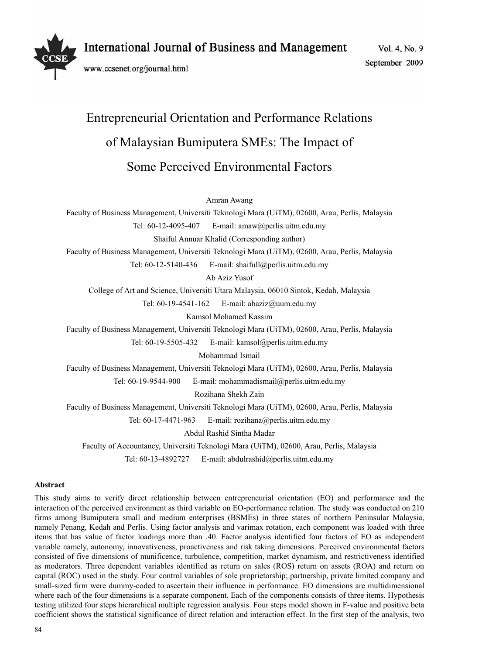

Vol. 4, No. 9 September 2009

# Entrepreneurial Orientation and Performance Relations of Malaysian Bumiputera SMEs: The Impact of Some Perceived Environmental Factors

Amran Awang

Faculty of Business Management, Universiti Teknologi Mara (UiTM), 02600, Arau, Perlis, Malaysia

Tel: 60-12-4095-407 E-mail: amaw@perlis.uitm.edu.my

Shaiful Annuar Khalid (Corresponding author)

Faculty of Business Management, Universiti Teknologi Mara (UiTM), 02600, Arau, Perlis, Malaysia

Tel: 60-12-5140-436 E-mail: shaifull@perlis.uitm.edu.my

Ab Aziz Yusof

College of Art and Science, Universiti Utara Malaysia, 06010 Sintok, Kedah, Malaysia

Tel: 60-19-4541-162 E-mail: abaziz@uum.edu.my

Kamsol Mohamed Kassim

Faculty of Business Management, Universiti Teknologi Mara (UiTM), 02600, Arau, Perlis, Malaysia

Tel: 60-19-5505-432 E-mail: kamsol@perlis.uitm.edu.my

Mohammad Ismail

Faculty of Business Management, Universiti Teknologi Mara (UiTM), 02600, Arau, Perlis, Malaysia

Tel: 60-19-9544-900 E-mail: mohammadismail@perlis.uitm.edu.my

Rozihana Shekh Zain

Faculty of Business Management, Universiti Teknologi Mara (UiTM), 02600, Arau, Perlis, Malaysia

Tel: 60-17-4471-963 E-mail: rozihana@perlis.uitm.edu.my

Abdul Rashid Sintha Madar

Faculty of Accountancy, Universiti Teknologi Mara (UiTM), 02600, Arau, Perlis, Malaysia

Tel: 60-13-4892727 E-mail: abdulrashid@perlis.uitm.edu.my

## **Abstract**

This study aims to verify direct relationship between entrepreneurial orientation (EO) and performance and the interaction of the perceived environment as third variable on EO-performance relation. The study was conducted on 210 firms among Bumiputera small and medium enterprises (BSMEs) in three states of northern Peninsular Malaysia, namely Penang, Kedah and Perlis. Using factor analysis and varimax rotation, each component was loaded with three items that has value of factor loadings more than .40. Factor analysis identified four factors of EO as independent variable namely, autonomy, innovativeness, proactiveness and risk taking dimensions. Perceived environmental factors consisted of five dimensions of munificence, turbulence, competition, market dynamism, and restrictiveness identified as moderators. Three dependent variables identified as return on sales (ROS) return on assets (ROA) and return on capital (ROC) used in the study. Four control variables of sole proprietorship; partnership, private limited company and small-sized firm were dummy-coded to ascertain their influence in performance. EO dimensions are multidimensional where each of the four dimensions is a separate component. Each of the components consists of three items. Hypothesis testing utilized four steps hierarchical multiple regression analysis. Four steps model shown in F-value and positive beta coefficient shows the statistical significance of direct relation and interaction effect. In the first step of the analysis, two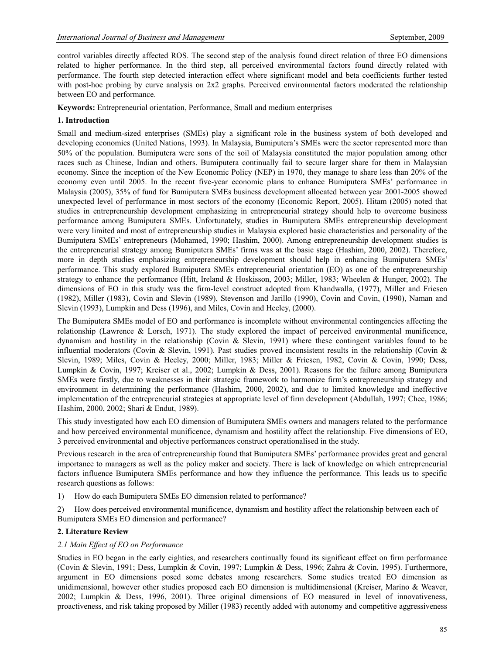control variables directly affected ROS. The second step of the analysis found direct relation of three EO dimensions related to higher performance. In the third step, all perceived environmental factors found directly related with performance. The fourth step detected interaction effect where significant model and beta coefficients further tested with post-hoc probing by curve analysis on 2x2 graphs. Perceived environmental factors moderated the relationship between EO and performance.

**Keywords:** Entrepreneurial orientation, Performance, Small and medium enterprises

# **1. Introduction**

Small and medium-sized enterprises (SMEs) play a significant role in the business system of both developed and developing economics (United Nations, 1993). In Malaysia, Bumiputera's SMEs were the sector represented more than 50% of the population. Bumiputera were sons of the soil of Malaysia constituted the major population among other races such as Chinese, Indian and others. Bumiputera continually fail to secure larger share for them in Malaysian economy. Since the inception of the New Economic Policy (NEP) in 1970, they manage to share less than 20% of the economy even until 2005. In the recent five-year economic plans to enhance Bumiputera SMEs' performance in Malaysia (2005), 35% of fund for Bumiputera SMEs business development allocated between year 2001-2005 showed unexpected level of performance in most sectors of the economy (Economic Report, 2005). Hitam (2005) noted that studies in entrepreneurship development emphasizing in entrepreneurial strategy should help to overcome business performance among Bumiputera SMEs. Unfortunately, studies in Bumiputera SMEs entrepreneurship development were very limited and most of entrepreneurship studies in Malaysia explored basic characteristics and personality of the Bumiputera SMEs' entrepreneurs (Mohamed, 1990; Hashim, 2000). Among entrepreneurship development studies is the entrepreneurial strategy among Bumiputera SMEs' firms was at the basic stage (Hashim, 2000, 2002). Therefore, more in depth studies emphasizing entrepreneurship development should help in enhancing Bumiputera SMEs' performance. This study explored Bumiputera SMEs entrepreneurial orientation (EO) as one of the entrepreneurship strategy to enhance the performance (Hitt, Ireland & Hoskisson, 2003; Miller, 1983; Wheelen & Hunger, 2002). The dimensions of EO in this study was the firm-level construct adopted from Khandwalla, (1977), Miller and Friesen (1982), Miller (1983), Covin and Slevin (1989), Stevenson and Jarillo (1990), Covin and Covin, (1990), Naman and Slevin (1993), Lumpkin and Dess (1996), and Miles, Covin and Heeley, (2000).

The Bumiputera SMEs model of EO and performance is incomplete without environmental contingencies affecting the relationship (Lawrence & Lorsch, 1971). The study explored the impact of perceived environmental munificence, dynamism and hostility in the relationship (Covin & Slevin, 1991) where these contingent variables found to be influential moderators (Covin & Slevin, 1991). Past studies proved inconsistent results in the relationship (Covin & Slevin, 1989; Miles, Covin & Heeley, 2000; Miller, 1983; Miller & Friesen, 1982, Covin & Covin, 1990; Dess, Lumpkin & Covin, 1997; Kreiser et al., 2002; Lumpkin & Dess, 2001). Reasons for the failure among Bumiputera SMEs were firstly, due to weaknesses in their strategic framework to harmonize firm's entrepreneurship strategy and environment in determining the performance (Hashim, 2000, 2002), and due to limited knowledge and ineffective implementation of the entrepreneurial strategies at appropriate level of firm development (Abdullah, 1997; Chee, 1986; Hashim, 2000, 2002; Shari & Endut, 1989).

This study investigated how each EO dimension of Bumiputera SMEs owners and managers related to the performance and how perceived environmental munificence, dynamism and hostility affect the relationship. Five dimensions of EO, 3 perceived environmental and objective performances construct operationalised in the study.

Previous research in the area of entrepreneurship found that Bumiputera SMEs' performance provides great and general importance to managers as well as the policy maker and society. There is lack of knowledge on which entrepreneurial factors influence Bumiputera SMEs performance and how they influence the performance. This leads us to specific research questions as follows:

1) How do each Bumiputera SMEs EO dimension related to performance?

2) How does perceived environmental munificence, dynamism and hostility affect the relationship between each of Bumiputera SMEs EO dimension and performance?

## **2. Literature Review**

## *2.1 Main Effect of EO on Performance*

Studies in EO began in the early eighties, and researchers continually found its significant effect on firm performance (Covin & Slevin, 1991; Dess, Lumpkin & Covin, 1997; Lumpkin & Dess, 1996; Zahra & Covin, 1995). Furthermore, argument in EO dimensions posed some debates among researchers. Some studies treated EO dimension as unidimensional, however other studies proposed each EO dimension is multidimensional (Kreiser, Marino & Weaver, 2002; Lumpkin & Dess, 1996, 2001). Three original dimensions of EO measured in level of innovativeness, proactiveness, and risk taking proposed by Miller (1983) recently added with autonomy and competitive aggressiveness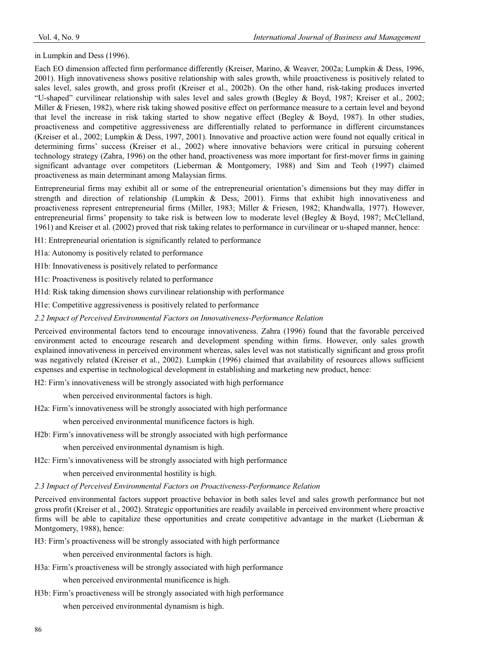in Lumpkin and Dess (1996).

Each EO dimension affected firm performance differently (Kreiser, Marino, & Weaver, 2002a; Lumpkin & Dess, 1996, 2001). High innovativeness shows positive relationship with sales growth, while proactiveness is positively related to sales level, sales growth, and gross profit (Kreiser et al., 2002b). On the other hand, risk-taking produces inverted "U-shaped" curvilinear relationship with sales level and sales growth (Begley & Boyd, 1987; Kreiser et al., 2002; Miller & Friesen, 1982), where risk taking showed positive effect on performance measure to a certain level and beyond that level the increase in risk taking started to show negative effect (Begley & Boyd, 1987). In other studies, proactiveness and competitive aggressiveness are differentially related to performance in different circumstances (Kreiser et al., 2002; Lumpkin & Dess, 1997, 2001). Innovative and proactive action were found not equally critical in determining firms' success (Kreiser et al., 2002) where innovative behaviors were critical in pursuing coherent technology strategy (Zahra, 1996) on the other hand, proactiveness was more important for first-mover firms in gaining significant advantage over competitors (Lieberman & Montgomery, 1988) and Sim and Teoh (1997) claimed proactiveness as main determinant among Malaysian firms.

Entrepreneurial firms may exhibit all or some of the entrepreneurial orientation's dimensions but they may differ in strength and direction of relationship (Lumpkin & Dess, 2001). Firms that exhibit high innovativeness and proactiveness represent entrepreneurial firms (Miller, 1983; Miller & Friesen, 1982; Khandwalla, 1977). However, entrepreneurial firms' propensity to take risk is between low to moderate level (Begley & Boyd, 1987; McClelland, 1961) and Kreiser et al. (2002) proved that risk taking relates to performance in curvilinear or u-shaped manner, hence:

H1: Entrepreneurial orientation is significantly related to performance

H1a: Autonomy is positively related to performance

H1b: Innovativeness is positively related to performance

H1c: Proactiveness is positively related to performance

H1d: Risk taking dimension shows curvilinear relationship with performance

H1e: Competitive aggressiveness is positively related to performance

*2.2 Impact of Perceived Environmental Factors on Innovativeness-Performance Relation* 

Perceived environmental factors tend to encourage innovativeness. Zahra (1996) found that the favorable perceived environment acted to encourage research and development spending within firms. However, only sales growth explained innovativeness in perceived environment whereas, sales level was not statistically significant and gross profit was negatively related (Kreiser et al., 2002). Lumpkin (1996) claimed that availability of resources allows sufficient expenses and expertise in technological development in establishing and marketing new product, hence:

H2: Firm's innovativeness will be strongly associated with high performance

when perceived environmental factors is high.

H2a: Firm's innovativeness will be strongly associated with high performance

when perceived environmental munificence factors is high.

H2b: Firm's innovativeness will be strongly associated with high performance

when perceived environmental dynamism is high.

H2c: Firm's innovativeness will be strongly associated with high performance

when perceived environmental hostility is high.

*2.3 Impact of Perceived Environmental Factors on Proactiveness-Performance Relation* 

Perceived environmental factors support proactive behavior in both sales level and sales growth performance but not gross profit (Kreiser et al., 2002). Strategic opportunities are readily available in perceived environment where proactive firms will be able to capitalize these opportunities and create competitive advantage in the market (Lieberman  $\&$ Montgomery, 1988), hence:

H3: Firm's proactiveness will be strongly associated with high performance

when perceived environmental factors is high.

H3a: Firm's proactiveness will be strongly associated with high performance

when perceived environmental munificence is high.

H3b: Firm's proactiveness will be strongly associated with high performance

when perceived environmental dynamism is high.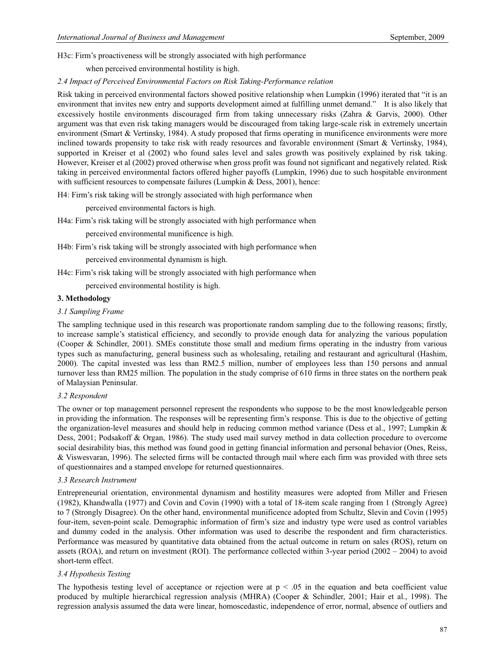H3c: Firm's proactiveness will be strongly associated with high performance

when perceived environmental hostility is high.

#### *2.4 Impact of Perceived Environmental Factors on Risk Taking-Performance relation*

Risk taking in perceived environmental factors showed positive relationship when Lumpkin (1996) iterated that "it is an environment that invites new entry and supports development aimed at fulfilling unmet demand." It is also likely that excessively hostile environments discouraged firm from taking unnecessary risks (Zahra & Garvis, 2000). Other argument was that even risk taking managers would be discouraged from taking large-scale risk in extremely uncertain environment (Smart & Vertinsky, 1984). A study proposed that firms operating in munificence environments were more inclined towards propensity to take risk with ready resources and favorable environment (Smart & Vertinsky, 1984), supported in Kreiser et al (2002) who found sales level and sales growth was positively explained by risk taking. However, Kreiser et al (2002) proved otherwise when gross profit was found not significant and negatively related. Risk taking in perceived environmental factors offered higher payoffs (Lumpkin, 1996) due to such hospitable environment with sufficient resources to compensate failures (Lumpkin & Dess, 2001), hence:

H4: Firm's risk taking will be strongly associated with high performance when

perceived environmental factors is high.

H4a: Firm's risk taking will be strongly associated with high performance when

perceived environmental munificence is high.

H4b: Firm's risk taking will be strongly associated with high performance when

perceived environmental dynamism is high.

H4c: Firm's risk taking will be strongly associated with high performance when

perceived environmental hostility is high.

#### **3. Methodology**

## *3.1 Sampling Frame*

The sampling technique used in this research was proportionate random sampling due to the following reasons; firstly, to increase sample's statistical efficiency, and secondly to provide enough data for analyzing the various population (Cooper & Schindler, 2001). SMEs constitute those small and medium firms operating in the industry from various types such as manufacturing, general business such as wholesaling, retailing and restaurant and agricultural (Hashim, 2000). The capital invested was less than RM2.5 million, number of employees less than 150 persons and annual turnover less than RM25 million. The population in the study comprise of 610 firms in three states on the northern peak of Malaysian Peninsular.

## *3.2 Respondent*

The owner or top management personnel represent the respondents who suppose to be the most knowledgeable person in providing the information. The responses will be representing firm's response. This is due to the objective of getting the organization-level measures and should help in reducing common method variance (Dess et al., 1997; Lumpkin & Dess, 2001; Podsakoff & Organ, 1986). The study used mail survey method in data collection procedure to overcome social desirability bias, this method was found good in getting financial information and personal behavior (Ones, Reiss, & Viswesvaran, 1996). The selected firms will be contacted through mail where each firm was provided with three sets of questionnaires and a stamped envelope for returned questionnaires.

#### *3.3 Research Instrument*

Entrepreneurial orientation, environmental dynamism and hostility measures were adopted from Miller and Friesen (1982), Khandwalla (1977) and Covin and Covin (1990) with a total of 18-item scale ranging from 1 (Strongly Agree) to 7 (Strongly Disagree). On the other hand, environmental munificence adopted from Schultz, Slevin and Covin (1995) four-item, seven-point scale. Demographic information of firm's size and industry type were used as control variables and dummy coded in the analysis. Other information was used to describe the respondent and firm characteristics. Performance was measured by quantitative data obtained from the actual outcome in return on sales (ROS), return on assets (ROA), and return on investment (ROI). The performance collected within 3-year period (2002 – 2004) to avoid short-term effect.

## *3.4 Hypothesis Testing*

The hypothesis testing level of acceptance or rejection were at  $p < .05$  in the equation and beta coefficient value produced by multiple hierarchical regression analysis (MHRA) (Cooper & Schindler, 2001; Hair et al., 1998). The regression analysis assumed the data were linear, homoscedastic, independence of error, normal, absence of outliers and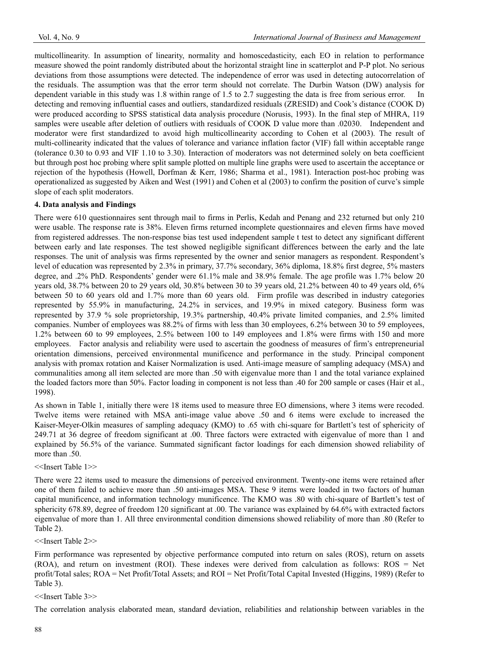multicollinearity. In assumption of linearity, normality and homoscedasticity, each EO in relation to performance measure showed the point randomly distributed about the horizontal straight line in scatterplot and P-P plot. No serious deviations from those assumptions were detected. The independence of error was used in detecting autocorrelation of the residuals. The assumption was that the error term should not correlate. The Durbin Watson (DW) analysis for dependent variable in this study was 1.8 within range of 1.5 to 2.7 suggesting the data is free from serious error. In detecting and removing influential cases and outliers, standardized residuals (ZRESID) and Cook's distance (COOK D) were produced according to SPSS statistical data analysis procedure (Norusis, 1993). In the final step of MHRA, 119 samples were useable after deletion of outliers with residuals of COOK D value more than .02030. Independent and moderator were first standardized to avoid high multicollinearity according to Cohen et al (2003). The result of multi-collinearity indicated that the values of tolerance and variance inflation factor (VIF) fall within acceptable range (tolerance 0.30 to 0.93 and VIF 1.10 to 3.30). Interaction of moderators was not determined solely on beta coefficient but through post hoc probing where split sample plotted on multiple line graphs were used to ascertain the acceptance or rejection of the hypothesis (Howell, Dorfman & Kerr, 1986; Sharma et al., 1981). Interaction post-hoc probing was operationalized as suggested by Aiken and West (1991) and Cohen et al (2003) to confirm the position of curve's simple slope of each split moderators.

# **4. Data analysis and Findings**

There were 610 questionnaires sent through mail to firms in Perlis, Kedah and Penang and 232 returned but only 210 were usable. The response rate is 38%. Eleven firms returned incomplete questionnaires and eleven firms have moved from registered addresses. The non-response bias test used independent sample t test to detect any significant different between early and late responses. The test showed negligible significant differences between the early and the late responses. The unit of analysis was firms represented by the owner and senior managers as respondent. Respondent's level of education was represented by 2.3% in primary, 37.7% secondary, 36% diploma, 18.8% first degree, 5% masters degree, and .2% PhD. Respondents' gender were 61.1% male and 38.9% female. The age profile was 1.7% below 20 years old, 38.7% between 20 to 29 years old, 30.8% between 30 to 39 years old, 21.2% between 40 to 49 years old, 6% between 50 to 60 years old and 1.7% more than 60 years old. Firm profile was described in industry categories represented by 55.9% in manufacturing, 24.2% in services, and 19.9% in mixed category. Business form was represented by 37.9 % sole proprietorship, 19.3% partnership, 40.4% private limited companies, and 2.5% limited companies. Number of employees was 88.2% of firms with less than 30 employees, 6.2% between 30 to 59 employees, 1.2% between 60 to 99 employees, 2.5% between 100 to 149 employees and 1.8% were firms with 150 and more employees. Factor analysis and reliability were used to ascertain the goodness of measures of firm's entrepreneurial orientation dimensions, perceived environmental munificence and performance in the study. Principal component analysis with promax rotation and Kaiser Normalization is used. Anti-image measure of sampling adequacy (MSA) and communalities among all item selected are more than .50 with eigenvalue more than 1 and the total variance explained the loaded factors more than 50%. Factor loading in component is not less than .40 for 200 sample or cases (Hair et al., 1998).

As shown in Table 1, initially there were 18 items used to measure three EO dimensions, where 3 items were recoded. Twelve items were retained with MSA anti-image value above .50 and 6 items were exclude to increased the Kaiser-Meyer-Olkin measures of sampling adequacy (KMO) to .65 with chi-square for Bartlett's test of sphericity of 249.71 at 36 degree of freedom significant at .00. Three factors were extracted with eigenvalue of more than 1 and explained by 56.5% of the variance. Summated significant factor loadings for each dimension showed reliability of more than .50.

<<Insert Table 1>>

There were 22 items used to measure the dimensions of perceived environment. Twenty-one items were retained after one of them failed to achieve more than .50 anti-images MSA. These 9 items were loaded in two factors of human capital munificence, and information technology munificence. The KMO was .80 with chi-square of Bartlett's test of sphericity 678.89, degree of freedom 120 significant at .00. The variance was explained by 64.6% with extracted factors eigenvalue of more than 1. All three environmental condition dimensions showed reliability of more than .80 (Refer to Table 2).

<<Insert Table 2>>

Firm performance was represented by objective performance computed into return on sales (ROS), return on assets (ROA), and return on investment (ROI). These indexes were derived from calculation as follows: ROS = Net profit/Total sales; ROA = Net Profit/Total Assets; and ROI = Net Profit/Total Capital Invested (Higgins, 1989) (Refer to Table 3).

<<Insert Table 3>>

The correlation analysis elaborated mean, standard deviation, reliabilities and relationship between variables in the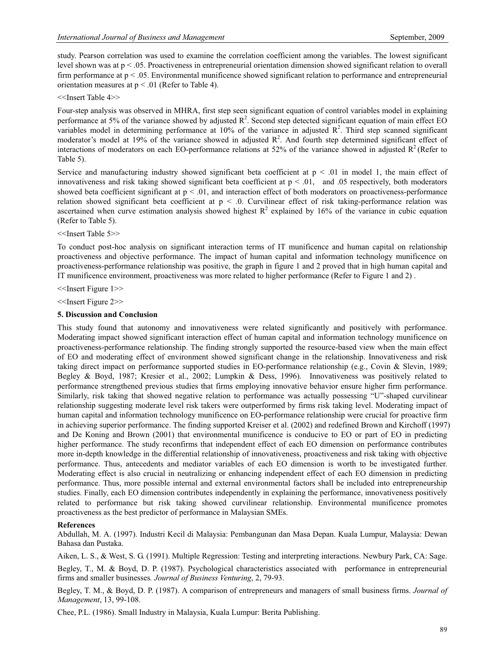study. Pearson correlation was used to examine the correlation coefficient among the variables. The lowest significant level shown was at p < .05. Proactiveness in entrepreneurial orientation dimension showed significant relation to overall firm performance at p < .05. Environmental munificence showed significant relation to performance and entrepreneurial orientation measures at  $p < .01$  (Refer to Table 4).

<<Insert Table 4>>

Four-step analysis was observed in MHRA, first step seen significant equation of control variables model in explaining performance at 5% of the variance showed by adjusted  $\mathbb{R}^2$ . Second step detected significant equation of main effect EO variables model in determining performance at 10% of the variance in adjusted  $\mathbb{R}^2$ . Third step scanned significant moderator's model at 19% of the variance showed in adjusted  $\mathbb{R}^2$ . And fourth step determined significant effect of interactions of moderators on each EO-performance relations at 52% of the variance showed in adjusted  $R^2$  (Refer to Table 5).

Service and manufacturing industry showed significant beta coefficient at  $p \le 0.01$  in model 1, the main effect of innovativeness and risk taking showed significant beta coefficient at  $p < .01$ , and .05 respectively, both moderators showed beta coefficient significant at  $p < 0.01$ , and interaction effect of both moderators on proactiveness-performance relation showed significant beta coefficient at  $p < 0$ . Curvilinear effect of risk taking-performance relation was ascertained when curve estimation analysis showed highest  $R^2$  explained by 16% of the variance in cubic equation (Refer to Table 5).

<<Insert Table 5>>

To conduct post-hoc analysis on significant interaction terms of IT munificence and human capital on relationship proactiveness and objective performance. The impact of human capital and information technology munificence on proactiveness-performance relationship was positive, the graph in figure 1 and 2 proved that in high human capital and IT munificence environment, proactiveness was more related to higher performance (Refer to Figure 1 and 2) .

<<Insert Figure 1>>

<<Insert Figure 2>>

#### **5. Discussion and Conclusion**

This study found that autonomy and innovativeness were related significantly and positively with performance. Moderating impact showed significant interaction effect of human capital and information technology munificence on proactiveness-performance relationship. The finding strongly supported the resource-based view when the main effect of EO and moderating effect of environment showed significant change in the relationship. Innovativeness and risk taking direct impact on performance supported studies in EO-performance relationship (e.g., Covin & Slevin, 1989; Begley & Boyd, 1987; Kresier et al., 2002; Lumpkin & Dess, 1996). Innovativeness was positively related to performance strengthened previous studies that firms employing innovative behavior ensure higher firm performance. Similarly, risk taking that showed negative relation to performance was actually possessing "U"-shaped curvilinear relationship suggesting moderate level risk takers were outperformed by firms risk taking level. Moderating impact of human capital and information technology munificence on EO-performance relationship were crucial for proactive firm in achieving superior performance. The finding supported Kreiser et al. (2002) and redefined Brown and Kirchoff (1997) and De Koning and Brown (2001) that environmental munificence is conducive to EO or part of EO in predicting higher performance. The study reconfirms that independent effect of each EO dimension on performance contributes more in-depth knowledge in the differential relationship of innovativeness, proactiveness and risk taking with objective performance. Thus, antecedents and mediator variables of each EO dimension is worth to be investigated further. Moderating effect is also crucial in neutralizing or enhancing independent effect of each EO dimension in predicting performance. Thus, more possible internal and external environmental factors shall be included into entrepreneurship studies. Finally, each EO dimension contributes independently in explaining the performance, innovativeness positively related to performance but risk taking showed curvilinear relationship. Environmental munificence promotes proactiveness as the best predictor of performance in Malaysian SMEs.

#### **References**

Abdullah, M. A. (1997). Industri Kecil di Malaysia: Pembangunan dan Masa Depan. Kuala Lumpur, Malaysia: Dewan Bahasa dan Pustaka.

Aiken, L. S., & West, S. G. (1991). Multiple Regression: Testing and interpreting interactions. Newbury Park, CA: Sage. Begley, T., M. & Boyd, D. P. (1987). Psychological characteristics associated with performance in entrepreneurial firms and smaller businesses*. Journal of Business Venturing*, 2, 79-93.

Begley, T. M., & Boyd, D. P. (1987). A comparison of entrepreneurs and managers of small business firms. *Journal of Management*, 13, 99-108.

Chee, P.L. (1986). Small Industry in Malaysia, Kuala Lumpur: Berita Publishing.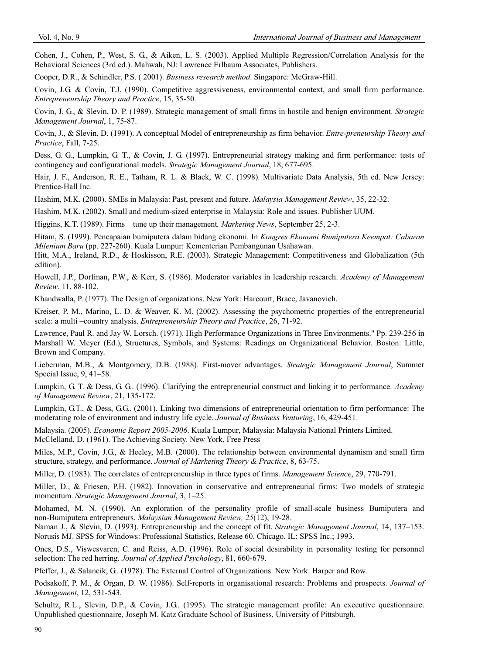Cohen, J., Cohen, P., West, S. G., & Aiken, L. S. (2003). Applied Multiple Regression/Correlation Analysis for the Behavioral Sciences (3rd ed.). Mahwah, NJ: Lawrence Erlbaum Associates, Publishers.

Cooper, D.R., & Schindler, P.S. ( 2001). *Business research method*. Singapore: McGraw-Hill.

Covin, J.G. & Covin, T.J. (1990). Competitive aggressiveness, environmental context, and small firm performance. *Entrepreneurship Theory and Practice*, 15, 35-50.

Covin, J. G., & Slevin, D. P. (1989). Strategic management of small firms in hostile and benign environment. *Strategic Management Journal*, 1, 75-87.

Covin, J., & Slevin, D. (1991). A conceptual Model of entrepreneurship as firm behavior. *Entre-preneurship Theory and Practice*, Fall, 7-25.

Dess, G. G., Lumpkin, G. T., & Covin, J. G. (1997). Entrepreneurial strategy making and firm performance: tests of contingency and configurational models. *Strategic Management Journal*, 18, 677-695.

Hair, J. F., Anderson, R. E., Tatham, R. L. & Black, W. C. (1998). Multivariate Data Analysis, 5th ed. New Jersey: Prentice-Hall Inc.

Hashim, M.K. (2000). SMEs in Malaysia: Past, present and future. *Malaysia Management Review*, 35, 22-32.

Hashim, M.K. (2002). Small and medium-sized enterprise in Malaysia: Role and issues. Publisher UUM.

Higgins, K.T. (1989). Firms tune up their management*. Marketing News*, September 25, 2-3.

Hitam, S. (1999). Pencapaian bumiputera dalam bidang ekonomi. In *Kongres Ekonomi Bumiputera Keempat: Cabaran Milenium Baru* (pp. 227-260). Kuala Lumpur: Kementerian Pembangunan Usahawan.

Hitt, M.A., Ireland, R.D., & Hoskisson, R.E. (2003). Strategic Management: Competitiveness and Globalization (5th edition).

Howell, J.P., Dorfman, P.W., & Kerr, S. (1986). Moderator variables in leadership research. *Academy of Management Review*, 11, 88-102.

Khandwalla, P. (1977). The Design of organizations. New York: Harcourt, Brace, Javanovich.

Kreiser, P. M., Marino, L. D. & Weaver, K. M. (2002). Assessing the psychometric properties of the entrepreneurial scale: a multi –country analysis. *Entrepreneurship Theory and Practice*, 26, 71-92.

Lawrence, Paul R. and Jay W. Lorsch. (1971). High Performance Organizations in Three Environments." Pp. 239-256 in Marshall W. Meyer (Ed.), Structures, Symbols, and Systems: Readings on Organizational Behavior. Boston: Little, Brown and Company.

Lieberman, M.B., & Montgomery, D.B. (1988). First-mover advantages. *Strategic Management Journal*, Summer Special Issue, 9, 41–58.

Lumpkin, G. T. & Dess, G. G.. (1996). Clarifying the entrepreneurial construct and linking it to performance. *Academy of Management Review*, 21, 135-172.

Lumpkin, G.T., & Dess, G.G. (2001). Linking two dimensions of entrepreneurial orientation to firm performance: The moderating role of environment and industry life cycle. *Journal of Business Venturing*, 16, 429-451.

Malaysia. (2005). *Economic Report 2005-2006*. Kuala Lumpur, Malaysia: Malaysia National Printers Limited. McClelland, D. (1961). The Achieving Society. New York, Free Press

Miles, M.P., Covin, J.G., & Heeley, M.B. (2000). The relationship between environmental dynamism and small firm structure, strategy, and performance. *Journal of Marketing Theory & Practice*, 8, 63-75.

Miller, D. (1983). The correlates of entrepreneurship in three types of firms. *Management Science*, 29, 770-791.

Miller, D., & Friesen, P.H. (1982). Innovation in conservative and entrepreneurial firms: Two models of strategic momentum. *Strategic Management Journal*, 3, 1–25.

Mohamed, M. N. (1990). An exploration of the personality profile of small-scale business Bumiputera and non-Bumiputera entrepreneurs. *Malaysian Management Review, 25*(12), 19-28.

Naman J., & Slevin, D. (1993). Entrepreneurship and the concept of fit. *Strategic Management Journal*, 14, 137–153. Norusis MJ. SPSS for Windows: Professional Statistics, Release 60. Chicago, IL: SPSS Inc.; 1993.

Ones, D.S., Viswesvaren, C. and Reiss, A.D. (1996). Role of social desirability in personality testing for personnel selection: The red herring. *Journal of Applied Psychology*, 81, 660-679.

Pfeffer, J., & Salancik, G.. (1978). The External Control of Organizations. New York: Harper and Row.

Podsakoff, P. M., & Organ, D. W. (1986). Self-reports in organisational research: Problems and prospects. *Journal of Management*, 12, 531-543.

Schultz, R.L., Slevin, D.P., & Covin, J.G.. (1995). The strategic management profile: An executive questionnaire. Unpublished questionnaire, Joseph M. Katz Graduate School of Business, University of Pittsburgh.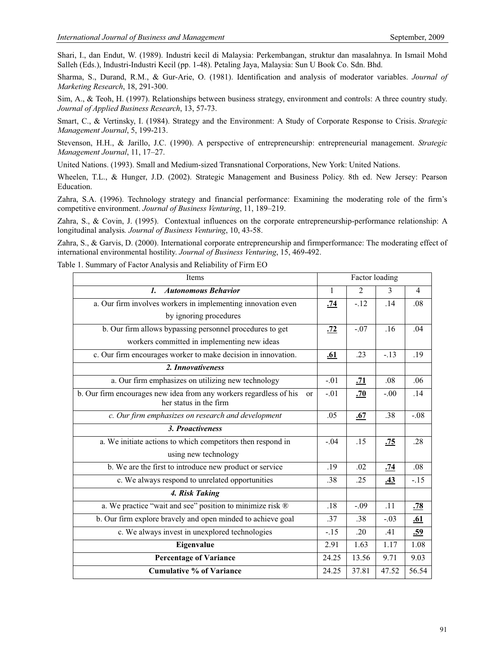Shari, I., dan Endut, W. (1989). Industri kecil di Malaysia: Perkembangan, struktur dan masalahnya. In Ismail Mohd Salleh (Eds.), Industri-Industri Kecil (pp. 1-48). Petaling Jaya, Malaysia: Sun U Book Co. Sdn. Bhd.

Sharma, S., Durand, R.M., & Gur-Arie, O. (1981). Identification and analysis of moderator variables. *Journal of Marketing Research*, 18, 291-300.

Sim, A., & Teoh, H. (1997). Relationships between business strategy, environment and controls: A three country study. *Journal of Applied Business Research*, 13, 57-73.

Smart, C., & Vertinsky, I. (1984). Strategy and the Environment: A Study of Corporate Response to Crisis. *Strategic Management Journal*, 5, 199-213.

Stevenson, H.H., & Jarillo, J.C. (1990). A perspective of entrepreneurship: entrepreneurial management. *Strategic Management Journal*, 11, 17–27.

United Nations. (1993). Small and Medium-sized Transnational Corporations, New York: United Nations.

Wheelen, T.L., & Hunger, J.D. (2002). Strategic Management and Business Policy. 8th ed. New Jersey: Pearson Education.

Zahra, S.A. (1996). Technology strategy and financial performance: Examining the moderating role of the firm's competitive environment. *Journal of Business Venturing*, 11, 189–219.

Zahra, S., & Covin, J. (1995). Contextual influences on the corporate entrepreneurship-performance relationship: A longitudinal analysis*. Journal of Business Venturing*, 10, 43-58.

Zahra, S., & Garvis, D. (2000). International corporate entrepreneurship and firmperformance: The moderating effect of international environmental hostility. *Journal of Business Venturing*, 15, 469-492.

Table 1. Summary of Factor Analysis and Reliability of Firm EO

| Items                                                                                              | Factor loading |                |            |                |  |  |
|----------------------------------------------------------------------------------------------------|----------------|----------------|------------|----------------|--|--|
| <b>Autonomous Behavior</b><br>$\mathbf{I}$ .                                                       | $\mathbf{1}$   | $\overline{2}$ | 3          | $\overline{4}$ |  |  |
| a. Our firm involves workers in implementing innovation even                                       | .74            | $-.12$         | .14        | .08            |  |  |
| by ignoring procedures                                                                             |                |                |            |                |  |  |
| b. Our firm allows bypassing personnel procedures to get                                           | .72            | $-.07$         | .16        | .04            |  |  |
| workers committed in implementing new ideas                                                        |                |                |            |                |  |  |
| c. Our firm encourages worker to make decision in innovation.                                      | <u>.61</u>     | .23            | $-.13$     | .19            |  |  |
| 2. Innovativeness                                                                                  |                |                |            |                |  |  |
| a. Our firm emphasizes on utilizing new technology                                                 | $-.01$         | .71            | .08        | .06            |  |  |
| b. Our firm encourages new idea from any workers regardless of his<br>or<br>her status in the firm | $-.01$         | .70            | $-.00$     | .14            |  |  |
| c. Our firm emphasizes on research and development                                                 | .05            | .67            | .38        | $-.08$         |  |  |
| 3. Proactiveness                                                                                   |                |                |            |                |  |  |
| a. We initiate actions to which competitors then respond in                                        | $-.04$         | .15            | <u>.75</u> | .28            |  |  |
| using new technology                                                                               |                |                |            |                |  |  |
| b. We are the first to introduce new product or service                                            | .19            | .02            | .74        | .08            |  |  |
| c. We always respond to unrelated opportunities                                                    | .38            | .25            | <u>.43</u> | $-.15$         |  |  |
| 4. Risk Taking                                                                                     |                |                |            |                |  |  |
| a. We practice "wait and see" position to minimize risk ®                                          | .18            | $-.09$         | .11        | .78            |  |  |
| b. Our firm explore bravely and open minded to achieve goal                                        | .37            | .38            | $-.03$     | <u>.61</u>     |  |  |
| c. We always invest in unexplored technologies                                                     | $-.15$         | .20            | .41        | .59            |  |  |
| Eigenvalue                                                                                         | 2.91           | 1.63           | 1.17       | 1.08           |  |  |
| <b>Percentage of Variance</b>                                                                      | 24.25          | 13.56          | 9.71       | 9.03           |  |  |
| <b>Cumulative % of Variance</b>                                                                    | 24.25          | 37.81          | 47.52      | 56.54          |  |  |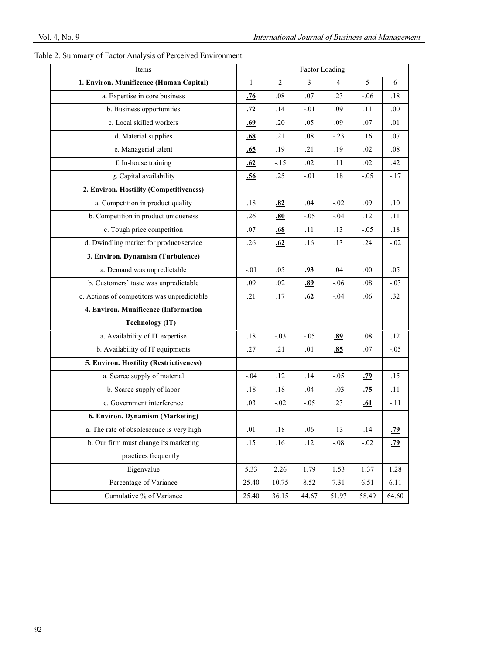| Items                                       | Factor Loading |        |            |        |            |            |
|---------------------------------------------|----------------|--------|------------|--------|------------|------------|
| 1. Environ. Munificence (Human Capital)     | $\mathbf{1}$   | 2      | 3          | 4      | 5          | 6          |
| a. Expertise in core business               | <u>.76</u>     | .08    | .07        | .23    | $-.06$     | .18        |
| b. Business opportunities                   | <u>.72</u>     | .14    | $-.01$     | .09    | .11        | .00        |
| c. Local skilled workers                    | .69            | .20    | .05        | .09    | .07        | .01        |
| d. Material supplies                        | .68            | .21    | .08        | $-.23$ | .16        | .07        |
| e. Managerial talent                        | .65            | .19    | .21        | .19    | .02        | .08        |
| f. In-house training                        | .62            | $-.15$ | .02        | .11    | .02        | .42        |
| g. Capital availability                     | .56            | .25    | $-.01$     | .18    | $-.05$     | $-17$      |
| 2. Environ. Hostility (Competitiveness)     |                |        |            |        |            |            |
| a. Competition in product quality           | .18            | .82    | .04        | $-.02$ | .09        | .10        |
| b. Competition in product uniqueness        | .26            | .80    | $-.05$     | $-.04$ | .12        | .11        |
| c. Tough price competition                  | .07            | .68    | .11        | .13    | $-.05$     | .18        |
| d. Dwindling market for product/service     | .26            | .62    | .16        | .13    | .24        | $-.02$     |
| 3. Environ. Dynamism (Turbulence)           |                |        |            |        |            |            |
| a. Demand was unpredictable                 | $-.01$         | .05    | <u>.93</u> | .04    | .00.       | .05        |
| b. Customers' taste was unpredictable       | .09            | .02    | .89        | $-.06$ | .08        | $-.03$     |
| c. Actions of competitors was unpredictable | .21            | .17    | .62        | $-.04$ | .06        | .32        |
| 4. Environ. Munificence (Information        |                |        |            |        |            |            |
| <b>Technology (IT)</b>                      |                |        |            |        |            |            |
| a. Availability of IT expertise             | .18            | $-.03$ | $-.05$     | .89    | .08        | .12        |
| b. Availability of IT equipments            | .27            | .21    | .01        | .85    | .07        | $-.05$     |
| 5. Environ. Hostility (Restrictiveness)     |                |        |            |        |            |            |
| a. Scarce supply of material                | $-.04$         | .12    | .14        | $-.05$ | <u>.79</u> | .15        |
| b. Scarce supply of labor                   | .18            | .18    | .04        | $-.03$ | .75        | .11        |
| c. Government interference                  | .03            | $-.02$ | $-.05$     | .23    | <u>.61</u> | $-.11$     |
| 6. Environ. Dynamism (Marketing)            |                |        |            |        |            |            |
| a. The rate of obsolescence is very high    | .01            | .18    | .06        | .13    | .14        | <u>.79</u> |
| b. Our firm must change its marketing       | .15            | .16    | .12        | $-.08$ | $-.02$     | <u>.79</u> |
| practices frequently                        |                |        |            |        |            |            |
| Eigenvalue                                  | 5.33           | 2.26   | 1.79       | 1.53   | 1.37       | 1.28       |
| Percentage of Variance                      | 25.40          | 10.75  | 8.52       | 7.31   | 6.51       | 6.11       |
| Cumulative % of Variance                    | 25.40          | 36.15  | 44.67      | 51.97  | 58.49      | 64.60      |

# Table 2. Summary of Factor Analysis of Perceived Environment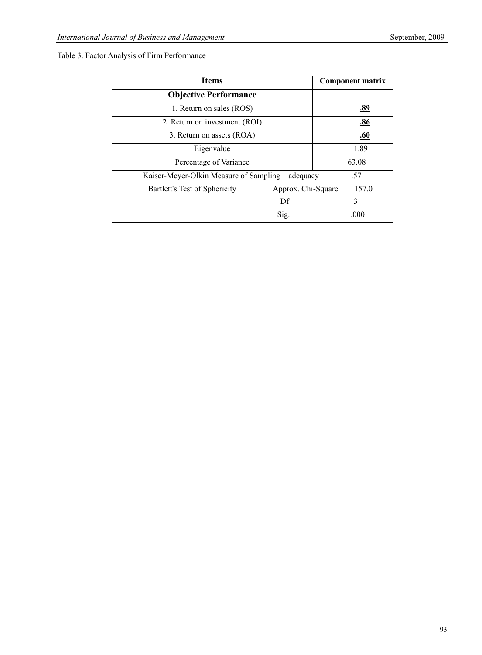# Table 3. Factor Analysis of Firm Performance

| <b>Items</b>                           |                    | <b>Component matrix</b> |  |  |  |
|----------------------------------------|--------------------|-------------------------|--|--|--|
| <b>Objective Performance</b>           |                    |                         |  |  |  |
| 1. Return on sales (ROS)               |                    | <u>.89</u>              |  |  |  |
| 2. Return on investment (ROI)          |                    | .86                     |  |  |  |
| 3. Return on assets (ROA)              |                    | .60                     |  |  |  |
| Eigenvalue                             |                    | 1.89                    |  |  |  |
| Percentage of Variance                 |                    | 63.08                   |  |  |  |
| Kaiser-Meyer-Olkin Measure of Sampling | adequacy           | .57                     |  |  |  |
| Bartlett's Test of Sphericity          | Approx. Chi-Square | 157.0                   |  |  |  |
|                                        | Df                 | 3                       |  |  |  |
|                                        | Sig.               | .000                    |  |  |  |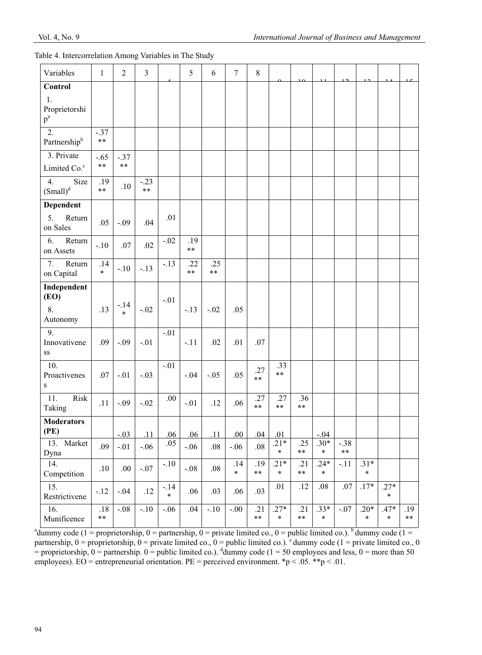# Table 4. Intercorrelation Among Variables in The Study

| Variables                                                        | $\mathbf{1}$         | $\overline{2}$       | 3              |                  | 5                 | 6                    | $\tau$        | 8                    |                  |                   |                  |                 |                  |                  |                   |
|------------------------------------------------------------------|----------------------|----------------------|----------------|------------------|-------------------|----------------------|---------------|----------------------|------------------|-------------------|------------------|-----------------|------------------|------------------|-------------------|
| <b>Control</b><br>1.<br>Proprietorshi<br>$\mathbf{p}^{\text{a}}$ |                      |                      |                |                  |                   |                      |               |                      |                  |                   |                  |                 |                  |                  |                   |
| 2.<br>Partnership <sup>b</sup>                                   | $-.37$<br>$\ast\ast$ |                      |                |                  |                   |                      |               |                      |                  |                   |                  |                 |                  |                  |                   |
| 3. Private<br>Limited Co. <sup>c</sup>                           | $-.65$<br>$\ast\ast$ | $-.37$<br>$\ast\ast$ |                |                  |                   |                      |               |                      |                  |                   |                  |                 |                  |                  |                   |
| Size<br>4.<br>$(Small)^d$                                        | .19<br>**            | .10                  | $-.23$<br>$**$ |                  |                   |                      |               |                      |                  |                   |                  |                 |                  |                  |                   |
| <b>Dependent</b>                                                 |                      |                      |                |                  |                   |                      |               |                      |                  |                   |                  |                 |                  |                  |                   |
| 5.<br>Return<br>on Sales                                         | .05                  | $-.09$               | .04            | .01              |                   |                      |               |                      |                  |                   |                  |                 |                  |                  |                   |
| 6.<br>Return<br>on Assets                                        | $-.10$               | .07                  | .02            | $-.02$           | .19<br>$\ast\ast$ |                      |               |                      |                  |                   |                  |                 |                  |                  |                   |
| 7.<br>Return<br>on Capital                                       | .14<br>$\star$       | $-.10$               | $-.13$         | $-.13$           | .22<br>$\ast\ast$ | .25<br>$\ast$ $\ast$ |               |                      |                  |                   |                  |                 |                  |                  |                   |
| Independent<br>(EO)<br>8.<br>Autonomy                            | .13                  | $-.14$<br>$\ast$     | $-.02$         | $-.01$           | $-.13$            | $-.02$               | .05           |                      |                  |                   |                  |                 |                  |                  |                   |
| 9.<br>Innovativene<br>$\rm SS$                                   | .09                  | $-.09$               | $-.01$         | $-.01$           | $-.11$            | .02                  | .01           | .07                  |                  |                   |                  |                 |                  |                  |                   |
| 10.<br>Proactivenes<br>S                                         | .07                  | $-.01$               | $-.03$         | $-.01$           | $-.04$            | $-.05$               | .05           | .27<br>$\star\star$  | .33<br>$***$     |                   |                  |                 |                  |                  |                   |
| Risk<br>11.<br>Taking                                            | .11                  | $-.09$               | $-.02$         | .00              | $-.01$            | .12                  | .06           | .27<br>$\ast\ast$    | .27<br>$***$     | .36<br>$***$      |                  |                 |                  |                  |                   |
| <b>Moderators</b><br>(PE)                                        |                      | $-.03$               | .11            | .06              | .06               | .11                  | 00.           | .04                  | .01              |                   | $-0.04$          |                 |                  |                  |                   |
| Market<br>13.<br>Dyna                                            | .09                  | $-.01$               | $-.06$         | .05              | $-.06$            | $.08\,$              | $-.06$        | .08                  | $.21*$<br>$\ast$ | .25<br>$***$      | $.30*$<br>$\ast$ | $-.38$<br>$***$ |                  |                  |                   |
| 14.<br>Competition                                               | .10                  | .00.                 | $-.07$         | $-.10$           | $-.08$            | $.08\,$              | .14<br>$\ast$ | .19<br>$\ast$ $\ast$ | $.21*$<br>$\ast$ | .21<br>$\ast\ast$ | $.24*$<br>$\ast$ | $-.11$          | $.31*$<br>$\ast$ |                  |                   |
| 15.<br>Restrictivene                                             | $-.12$               | $-.04$               | .12            | $-14$<br>$\star$ | .06               | .03                  | .06           | .03                  | .01              | .12               | $.08\,$          | $.07$           | $.17*$           | $.27*$<br>$\ast$ |                   |
| 16.<br>Munificence                                               | $.18$<br>$\ast\ast$  | $-.08$               | $-.10$         | $-.06$           | .04               | $-.10$               | $-.00$        | .21<br>$\ast$ $\ast$ | $.27*$<br>$\ast$ | .21<br>$\ast\ast$ | $.33*$<br>$\ast$ | $-.07$          | $.20*$<br>$\ast$ | $.47*$<br>$\ast$ | .19<br>$\ast\ast$ |

<sup>&</sup>lt;sup>a</sup>dummy code (1 = proprietorship, 0 = partnership, 0 = private limited co., 0 = public limited co.). <sup>b</sup> dummy code (1 = partnership,  $0 =$  proprietorship,  $0 =$  private limited co.,  $0 =$  public limited co.).  $\degree$  dummy code (1 = private limited co., 0 = proprietorship,  $0 =$  partnership.  $0 =$  public limited co.). <sup>d</sup>dummy code ( $1 = 50$  employees and less,  $0 =$  more than 50 employees). EO = entrepreneurial orientation. PE = perceived environment.  $np < 0.05$ . \*\*p < .01.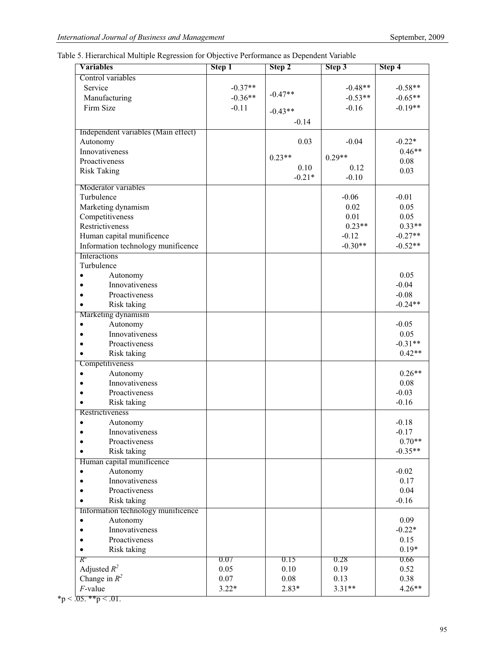# Table 5. Hierarchical Multiple Regression for Objective Performance as Dependent Variable

| <b>Variables</b>                    | Step 1    | Step 2    | Step 3    | Step 4    |
|-------------------------------------|-----------|-----------|-----------|-----------|
| Control variables                   |           |           |           |           |
| Service                             | $-0.37**$ |           | $-0.48**$ | $-0.58**$ |
| Manufacturing                       | $-0.36**$ | $-0.47**$ | $-0.53**$ | $-0.65**$ |
| Firm Size                           | $-0.11$   |           | $-0.16$   | $-0.19**$ |
|                                     |           | $-0.43**$ |           |           |
|                                     |           | $-0.14$   |           |           |
| Independent variables (Main effect) |           |           |           |           |
| Autonomy                            |           | 0.03      | $-0.04$   | $-0.22*$  |
| Innovativeness                      |           | $0.23**$  | $0.29**$  | $0.46**$  |
| Proactiveness                       |           | 0.10      | 0.12      | 0.08      |
| <b>Risk Taking</b>                  |           | $-0.21*$  | $-0.10$   | 0.03      |
| Moderator variables                 |           |           |           |           |
| Turbulence                          |           |           | $-0.06$   | $-0.01$   |
| Marketing dynamism                  |           |           | 0.02      | 0.05      |
| Competitiveness                     |           |           | 0.01      | 0.05      |
| Restrictiveness                     |           |           | $0.23**$  | $0.33**$  |
| Human capital munificence           |           |           | $-0.12$   | $-0.27**$ |
| Information technology munificence  |           |           | $-0.30**$ | $-0.52**$ |
| Interactions                        |           |           |           |           |
| Turbulence                          |           |           |           |           |
| Autonomy<br>$\bullet$               |           |           |           | 0.05      |
| Innovativeness<br>$\bullet$         |           |           |           | $-0.04$   |
| Proactiveness<br>$\bullet$          |           |           |           | $-0.08$   |
| Risk taking<br>$\bullet$            |           |           |           | $-0.24**$ |
| Marketing dynamism                  |           |           |           |           |
| Autonomy<br>$\bullet$               |           |           |           | $-0.05$   |
| Innovativeness<br>$\bullet$         |           |           |           | 0.05      |
| Proactiveness<br>$\bullet$          |           |           |           | $-0.31**$ |
| Risk taking<br>$\bullet$            |           |           |           | $0.42**$  |
| Competitiveness                     |           |           |           |           |
| Autonomy<br>$\bullet$               |           |           |           | $0.26**$  |
| Innovativeness<br>$\bullet$         |           |           |           | 0.08      |
| Proactiveness<br>$\bullet$          |           |           |           | $-0.03$   |
| Risk taking                         |           |           |           | $-0.16$   |
| Restrictiveness                     |           |           |           |           |
| Autonomy<br>$\bullet$               |           |           |           | $-0.18$   |
| Innovativeness<br>$\bullet$         |           |           |           | $-0.17$   |
| Proactiveness                       |           |           |           | $0.70**$  |
| Risk taking<br>$\bullet$            |           |           |           | $-0.35**$ |
| Human capital munificence           |           |           |           |           |
| Autonomy<br>$\bullet$               |           |           |           | $-0.02$   |
| Innovativeness<br>$\bullet$         |           |           |           | 0.17      |
| Proactiveness                       |           |           |           | 0.04      |
| Risk taking<br>$\bullet$            |           |           |           | $-0.16$   |
| Information technology munificence  |           |           |           |           |
| Autonomy<br>$\bullet$               |           |           |           | 0.09      |
| Innovativeness<br>$\bullet$         |           |           |           | $-0.22*$  |
| Proactiveness                       |           |           |           | 0.15      |
| Risk taking<br>$\bullet$            |           |           |           | $0.19*$   |
| $R^2$                               | 0.07      | 0.15      | 0.28      | 0.66      |
| Adjusted $R^2$                      | 0.05      | 0.10      | 0.19      | 0.52      |
| Change in $R^2$                     | 0.07      | 0.08      | 0.13      | 0.38      |
| $F$ -value                          | $3.22*$   | $2.83*$   | $3.31**$  | $4.26**$  |

 $*$ p < .05.  $*$  $*$ p < .01.